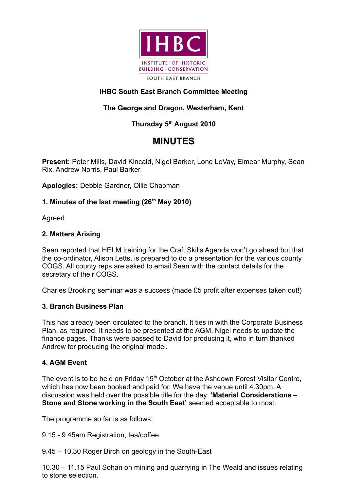

# **IHBC South East Branch Committee Meeting**

## **The George and Dragon, Westerham, Kent**

## **Thursday 5th August 2010**

# **MINUTES**

**Present:** Peter Mills, David Kincaid, Nigel Barker, Lone LeVay, Eimear Murphy, Sean Rix, Andrew Norris, Paul Barker.

**Apologies:** Debbie Gardner, Ollie Chapman

## **1. Minutes of the last meeting (26th May 2010)**

Agreed

#### **2. Matters Arising**

Sean reported that HELM training for the Craft Skills Agenda won't go ahead but that the co-ordinator, Alison Letts, is prepared to do a presentation for the various county COGS. All county reps are asked to email Sean with the contact details for the secretary of their COGS.

Charles Brooking seminar was a success (made £5 profit after expenses taken out!)

#### **3. Branch Business Plan**

This has already been circulated to the branch. It ties in with the Corporate Business Plan, as required. It needs to be presented at the AGM. Nigel needs to update the finance pages. Thanks were passed to David for producing it, who in turn thanked Andrew for producing the original model.

#### **4. AGM Event**

The event is to be held on Friday  $15<sup>th</sup>$  October at the Ashdown Forest Visitor Centre, which has now been booked and paid for. We have the venue until 4.30pm. A discussion was held over the possible title for the day. **'Material Considerations – Stone and Stone working in the South East' seemed acceptable to most.** 

The programme so far is as follows:

9.15 - 9.45am Registration, tea/coffee

9.45 – 10.30 Roger Birch on geology in the South-East

10.30 – 11.15 Paul Sohan on mining and quarrying in The Weald and issues relating to stone selection.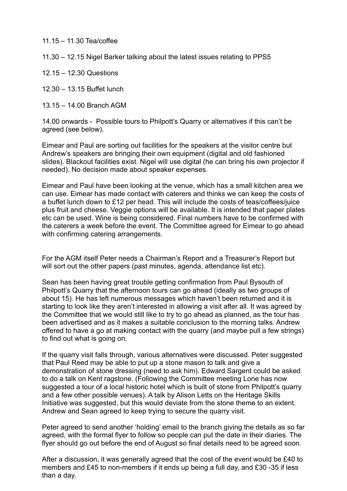11.15 – 11.30 Tea/coffee

11.30 – 12.15 Nigel Barker talking about the latest issues relating to PPS5

12.15 – 12.30 Questions

12.30 – 13.15 Buffet lunch

13.15 – 14.00 Branch AGM

14.00 onwards - Possible tours to Philpott's Quarry or alternatives if this can't be agreed (see below).

Eimear and Paul are sorting out facilities for the speakers at the visitor centre but Andrew's speakers are bringing their own equipment (digital and old fashioned slides). Blackout facilities exist. Nigel will use digital (he can bring his own projector if needed). No decision made about speaker expenses.

Eimear and Paul have been looking at the venue, which has a small kitchen area we can use. Eimear has made contact with caterers and thinks we can keep the costs of a buffet lunch down to £12 per head. This will include the costs of teas/coffees/juice plus fruit and cheese. Veggie options will be available. It is intended that paper plates etc can be used. Wine is being considered. Final numbers have to be confirmed with the caterers a week before the event. The Committee agreed for Eimear to go ahead with confirming catering arrangements.

For the AGM itself Peter needs a Chairman's Report and a Treasurer's Report but will sort out the other papers (past minutes, agenda, attendance list etc).

Sean has been having great trouble getting confirmation from Paul Bysouth of Philpott's Quarry that the afternoon tours can go ahead (ideally as two groups of about 15). He has left numerous messages which haven't been returned and it is starting to look like they aren't interested in allowing a visit after all. It was agreed by the Committee that we would still like to try to go ahead as planned, as the tour has been advertised and as it makes a suitable conclusion to the morning talks. Andrew offered to have a go at making contact with the quarry (and maybe pull a few strings) to find out what is going on.

If the quarry visit falls through, various alternatives were discussed. Peter suggested that Paul Reed may be able to put up a stone mason to talk and give a demonstration of stone dressing (need to ask him). Edward Sargent could be asked to do a talk on Kent ragstone. (Following the Committee meeting Lone has now suggested a tour of a local historic hotel which is built of stone from Philpott's quarry and a few other possible venues). A talk by Alison Letts on the Heritage Skills Initiative was suggested, but this would deviate from the stone theme to an extent. Andrew and Sean agreed to keep trying to secure the quarry visit.

Peter agreed to send another 'holding' email to the branch giving the details as so far agreed, with the formal flyer to follow so people can put the date in their diaries. The flyer should go out before the end of August so final details need to be agreed soon.

After a discussion, it was generally agreed that the cost of the event would be £40 to members and £45 to non-members if it ends up being a full day, and £30 -35 if less than a day.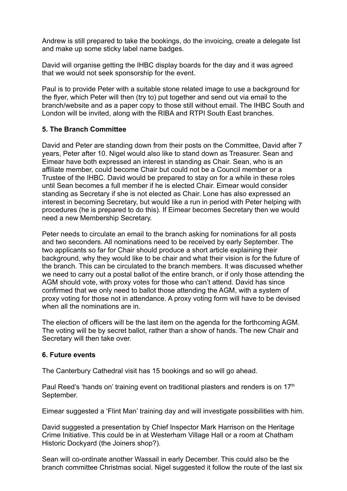Andrew is still prepared to take the bookings, do the invoicing, create a delegate list and make up some sticky label name badges.

David will organise getting the IHBC display boards for the day and it was agreed that we would not seek sponsorship for the event.

Paul is to provide Peter with a suitable stone related image to use a background for the flyer, which Peter will then (try to) put together and send out via email to the branch/website and as a paper copy to those still without email. The IHBC South and London will be invited, along with the RIBA and RTPI South East branches.

## **5. The Branch Committee**

David and Peter are standing down from their posts on the Committee, David after 7 years, Peter after 10. Nigel would also like to stand down as Treasurer. Sean and Eimear have both expressed an interest in standing as Chair. Sean, who is an affiliate member, could become Chair but could not be a Council member or a Trustee of the IHBC. David would be prepared to stay on for a while in these roles until Sean becomes a full member if he is elected Chair. Eimear would consider standing as Secretary if she is not elected as Chair. Lone has also expressed an interest in becoming Secretary, but would like a run in period with Peter helping with procedures (he is prepared to do this). If Eimear becomes Secretary then we would need a new Membership Secretary.

Peter needs to circulate an email to the branch asking for nominations for all posts and two seconders. All nominations need to be received by early September. The two applicants so far for Chair should produce a short article explaining their background, why they would like to be chair and what their vision is for the future of the branch. This can be circulated to the branch members. It was discussed whether we need to carry out a postal ballot of the entire branch, or if only those attending the AGM should vote, with proxy votes for those who can't attend. David has since confirmed that we only need to ballot those attending the AGM, with a system of proxy voting for those not in attendance. A proxy voting form will have to be devised when all the nominations are in.

The election of officers will be the last item on the agenda for the forthcoming AGM. The voting will be by secret ballot, rather than a show of hands. The new Chair and Secretary will then take over.

## **6. Future events**

The Canterbury Cathedral visit has 15 bookings and so will go ahead.

Paul Reed's 'hands on' training event on traditional plasters and renders is on  $17<sup>th</sup>$ September.

Eimear suggested a 'Flint Man' training day and will investigate possibilities with him.

David suggested a presentation by Chief Inspector Mark Harrison on the Heritage Crime Initiative. This could be in at Westerham Village Hall or a room at Chatham Historic Dockyard (the Joiners shop?).

Sean will co-ordinate another Wassail in early December. This could also be the branch committee Christmas social. Nigel suggested it follow the route of the last six